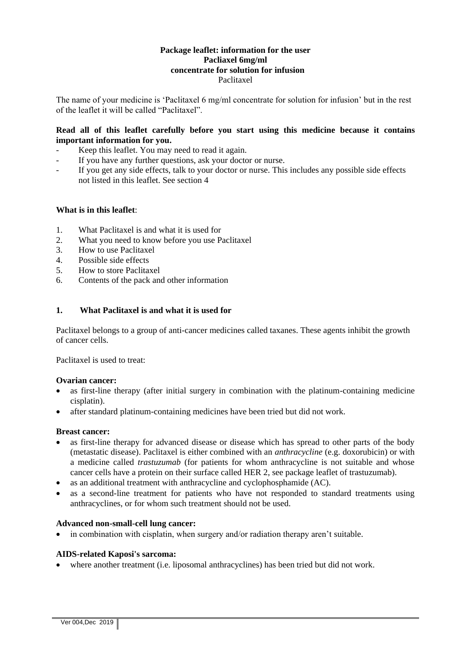#### **Package leaflet: information for the user Pacliaxel 6mg/ml concentrate for solution for infusion** Paclitaxel

The name of your medicine is 'Paclitaxel 6 mg/ml concentrate for solution for infusion' but in the rest of the leaflet it will be called "Paclitaxel".

#### **Read all of this leaflet carefully before you start using this medicine because it contains important information for you.**

- Keep this leaflet. You may need to read it again.
- If you have any further questions, ask your doctor or nurse.
- If you get any side effects, talk to your doctor or nurse. This includes any possible side effects not listed in this leaflet. See section 4

#### **What is in this leaflet**:

- 1. What Paclitaxel is and what it is used for
- 2. What you need to know before you use Paclitaxel
- 3. How to use Paclitaxel
- 4. Possible side effects
- 5. How to store Paclitaxel
- 6. Contents of the pack and other information

#### **1. What Paclitaxel is and what it is used for**

Paclitaxel belongs to a group of anti-cancer medicines called taxanes. These agents inhibit the growth of cancer cells.

Paclitaxel is used to treat:

#### **Ovarian cancer:**

- as first-line therapy (after initial surgery in combination with the platinum-containing medicine cisplatin).
- after standard platinum-containing medicines have been tried but did not work.

#### **Breast cancer:**

- as first-line therapy for advanced disease or disease which has spread to other parts of the body (metastatic disease). Paclitaxel is either combined with an *anthracycline* (e.g. doxorubicin) or with a medicine called *trastuzumab* (for patients for whom anthracycline is not suitable and whose cancer cells have a protein on their surface called HER 2, see package leaflet of trastuzumab).
- as an additional treatment with anthracycline and cyclophosphamide (AC).
- as a second-line treatment for patients who have not responded to standard treatments using anthracyclines, or for whom such treatment should not be used.

#### **Advanced non-small-cell lung cancer:**

in combination with cisplatin, when surgery and/or radiation therapy aren't suitable.

#### **AIDS-related Kaposi's sarcoma:**

where another treatment (i.e. liposomal anthracyclines) has been tried but did not work.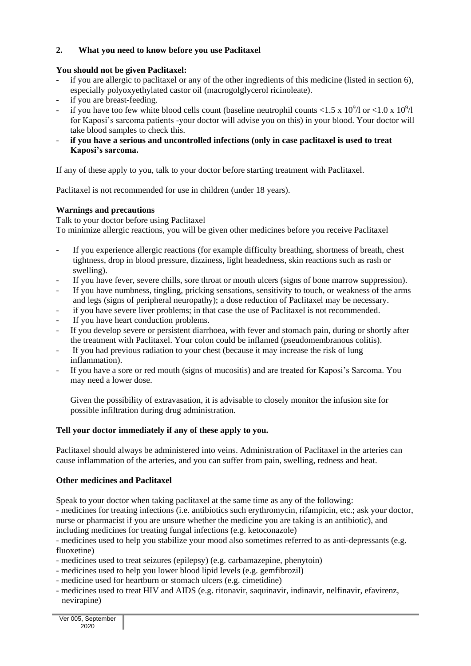# **2. What you need to know before you use Paclitaxel**

# **You should not be given Paclitaxel:**

- if you are allergic to paclitaxel or any of the other ingredients of this medicine (listed in section 6), especially polyoxyethylated castor oil (macrogolglycerol ricinoleate).
- if you are breast-feeding.
- if you have too few white blood cells count (baseline neutrophil counts <1.5 x  $10^9$ /l or <1.0 x  $10^9$ /l for Kaposi's sarcoma patients -your doctor will advise you on this) in your blood. Your doctor will take blood samples to check this.
- **if you have a serious and uncontrolled infections (only in case paclitaxel is used to treat Kaposi's sarcoma.**

If any of these apply to you, talk to your doctor before starting treatment with Paclitaxel.

Paclitaxel is not recommended for use in children (under 18 years).

### **Warnings and precautions**

Talk to your doctor before using Paclitaxel

To minimize allergic reactions, you will be given other medicines before you receive Paclitaxel

- If you experience allergic reactions (for example difficulty breathing, shortness of breath, chest tightness, drop in blood pressure, dizziness, light headedness, skin reactions such as rash or swelling).
- If you have fever, severe chills, sore throat or mouth ulcers (signs of bone marrow suppression).
- If you have numbness, tingling, pricking sensations, sensitivity to touch, or weakness of the arms and legs (signs of peripheral neuropathy); a dose reduction of Paclitaxel may be necessary.
- if you have severe liver problems; in that case the use of Paclitaxel is not recommended.
- If you have heart conduction problems.
- If you develop severe or persistent diarrhoea, with fever and stomach pain, during or shortly after the treatment with Paclitaxel. Your colon could be inflamed (pseudomembranous colitis).
- If you had previous radiation to your chest (because it may increase the risk of lung inflammation).
- If you have a sore or red mouth (signs of mucositis) and are treated for Kaposi's Sarcoma. You may need a lower dose.

Given the possibility of extravasation, it is advisable to closely monitor the infusion site for possible infiltration during drug administration.

# **Tell your doctor immediately if any of these apply to you.**

Paclitaxel should always be administered into veins. Administration of Paclitaxel in the arteries can cause inflammation of the arteries, and you can suffer from pain, swelling, redness and heat.

### **Other medicines and Paclitaxel**

Speak to your doctor when taking paclitaxel at the same time as any of the following:

- medicines for treating infections (i.e. antibiotics such erythromycin, rifampicin, etc.; ask your doctor, nurse or pharmacist if you are unsure whether the medicine you are taking is an antibiotic), and including medicines for treating fungal infections (e.g. ketoconazole)

- medicines used to help you stabilize your mood also sometimes referred to as anti-depressants (e.g. fluoxetine)

- medicines used to treat seizures (epilepsy) (e.g. carbamazepine, phenytoin)
- medicines used to help you lower blood lipid levels (e.g. gemfibrozil)
- medicine used for heartburn or stomach ulcers (e.g. cimetidine)
- medicines used to treat HIV and AIDS (e.g. ritonavir, saquinavir, indinavir, nelfinavir, efavirenz, nevirapine)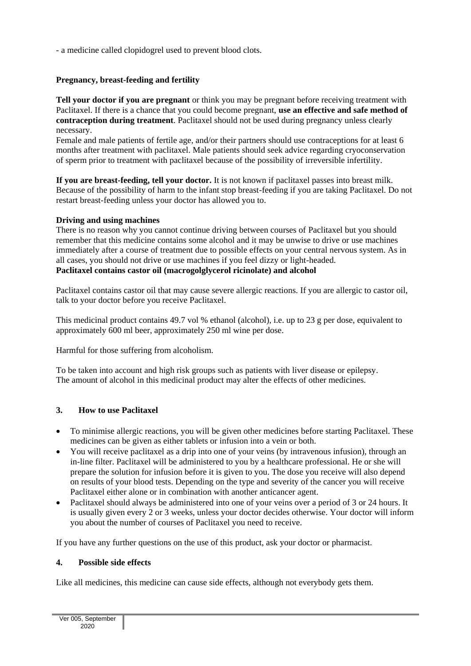- a medicine called clopidogrel used to prevent blood clots.

# **Pregnancy, breast-feeding and fertility**

**Tell your doctor if you are pregnant** or think you may be pregnant before receiving treatment with Paclitaxel. If there is a chance that you could become pregnant, **use an effective and safe method of contraception during treatment**. Paclitaxel should not be used during pregnancy unless clearly necessary.

Female and male patients of fertile age, and/or their partners should use contraceptions for at least 6 months after treatment with paclitaxel. Male patients should seek advice regarding cryoconservation of sperm prior to treatment with paclitaxel because of the possibility of irreversible infertility.

**If you are breast-feeding, tell your doctor.** It is not known if paclitaxel passes into breast milk. Because of the possibility of harm to the infant stop breast-feeding if you are taking Paclitaxel. Do not restart breast-feeding unless your doctor has allowed you to.

# **Driving and using machines**

There is no reason why you cannot continue driving between courses of Paclitaxel but you should remember that this medicine contains some alcohol and it may be unwise to drive or use machines immediately after a course of treatment due to possible effects on your central nervous system. As in all cases, you should not drive or use machines if you feel dizzy or light-headed. **Paclitaxel contains castor oil (macrogolglycerol ricinolate) and alcohol**

Paclitaxel contains castor oil that may cause severe allergic reactions. If you are allergic to castor oil, talk to your doctor before you receive Paclitaxel.

This medicinal product contains 49.7 vol % ethanol (alcohol), i.e. up to 23 g per dose, equivalent to approximately 600 ml beer, approximately 250 ml wine per dose.

Harmful for those suffering from alcoholism.

To be taken into account and high risk groups such as patients with liver disease or epilepsy. The amount of alcohol in this medicinal product may alter the effects of other medicines.

# **3. How to use Paclitaxel**

- To minimise allergic reactions, you will be given other medicines before starting Paclitaxel. These medicines can be given as either tablets or infusion into a vein or both.
- You will receive paclitaxel as a drip into one of your veins (by intravenous infusion), through an in-line filter. Paclitaxel will be administered to you by a healthcare professional. He or she will prepare the solution for infusion before it is given to you. The dose you receive will also depend on results of your blood tests. Depending on the type and severity of the cancer you will receive Paclitaxel either alone or in combination with another anticancer agent.
- Paclitaxel should always be administered into one of your veins over a period of 3 or 24 hours. It is usually given every 2 or 3 weeks, unless your doctor decides otherwise. Your doctor will inform you about the number of courses of Paclitaxel you need to receive.

If you have any further questions on the use of this product, ask your doctor or pharmacist.

### **4. Possible side effects**

Like all medicines, this medicine can cause side effects, although not everybody gets them.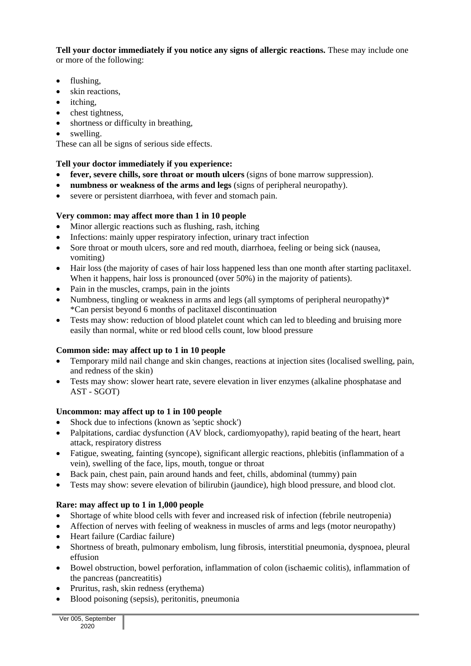**Tell your doctor immediately if you notice any signs of allergic reactions.** These may include one or more of the following:

- flushing,
- skin reactions,
- itching.
- chest tightness,
- shortness or difficulty in breathing,
- swelling.

These can all be signs of serious side effects.

# **Tell your doctor immediately if you experience:**

- **fever, severe chills, sore throat or mouth ulcers** (signs of bone marrow suppression).
- **numbness or weakness of the arms and legs** (signs of peripheral neuropathy).
- severe or persistent diarrhoea, with fever and stomach pain.

# **Very common: may affect more than 1 in 10 people**

- Minor allergic reactions such as flushing, rash, itching
- Infections: mainly upper respiratory infection, urinary tract infection
- Sore throat or mouth ulcers, sore and red mouth, diarrhoea, feeling or being sick (nausea, vomiting)
- Hair loss (the majority of cases of hair loss happened less than one month after starting paclitaxel. When it happens, hair loss is pronounced (over 50%) in the majority of patients).
- Pain in the muscles, cramps, pain in the joints
- Numbness, tingling or weakness in arms and legs (all symptoms of peripheral neuropathy)\* \*Can persist beyond 6 months of paclitaxel discontinuation
- Tests may show: reduction of blood platelet count which can led to bleeding and bruising more easily than normal, white or red blood cells count, low blood pressure

# **Common side: may affect up to 1 in 10 people**

- Temporary mild nail change and skin changes, reactions at injection sites (localised swelling, pain, and redness of the skin)
- Tests may show: slower heart rate, severe elevation in liver enzymes (alkaline phosphatase and AST - SGOT)

# **Uncommon: may affect up to 1 in 100 people**

- Shock due to infections (known as 'septic shock')
- Palpitations, cardiac dysfunction (AV block, cardiomyopathy), rapid beating of the heart, heart attack, respiratory distress
- Fatigue, sweating, fainting (syncope), significant allergic reactions, phlebitis (inflammation of a vein), swelling of the face, lips, mouth, tongue or throat
- Back pain, chest pain, pain around hands and feet, chills, abdominal (tummy) pain
- Tests may show: severe elevation of bilirubin (jaundice), high blood pressure, and blood clot.

# **Rare: may affect up to 1 in 1,000 people**

- Shortage of white blood cells with fever and increased risk of infection (febrile neutropenia)
- Affection of nerves with feeling of weakness in muscles of arms and legs (motor neuropathy)
- Heart failure (Cardiac failure)
- Shortness of breath, pulmonary embolism, lung fibrosis, interstitial pneumonia, dyspnoea, pleural effusion
- Bowel obstruction, bowel perforation, inflammation of colon (ischaemic colitis), inflammation of the pancreas (pancreatitis)
- Pruritus, rash, skin redness (erythema)
- Blood poisoning (sepsis), peritonitis, pneumonia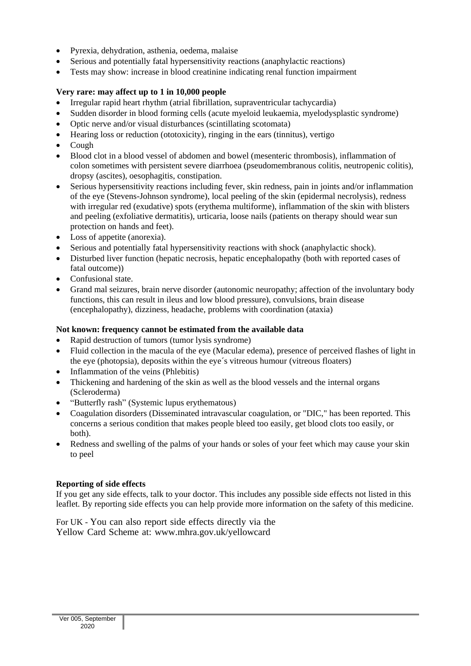- Pyrexia, dehydration, asthenia, oedema, malaise
- Serious and potentially fatal hypersensitivity reactions (anaphylactic reactions)
- Tests may show: increase in blood creatinine indicating renal function impairment

### **Very rare: may affect up to 1 in 10,000 people**

- Irregular rapid heart rhythm (atrial fibrillation, supraventricular tachycardia)
- Sudden disorder in blood forming cells (acute myeloid leukaemia, myelodysplastic syndrome)
- Optic nerve and/or visual disturbances (scintillating scotomata)
- Hearing loss or reduction (ototoxicity), ringing in the ears (tinnitus), vertigo
- Cough
- Blood clot in a blood vessel of abdomen and bowel (mesenteric thrombosis), inflammation of colon sometimes with persistent severe diarrhoea (pseudomembranous colitis, neutropenic colitis), dropsy (ascites), oesophagitis, constipation.
- Serious hypersensitivity reactions including fever, skin redness, pain in joints and/or inflammation of the eye (Stevens-Johnson syndrome), local peeling of the skin (epidermal necrolysis), redness with irregular red (exudative) spots (erythema multiforme), inflammation of the skin with blisters and peeling (exfoliative dermatitis), urticaria, loose nails (patients on therapy should wear sun protection on hands and feet).
- Loss of appetite (anorexia).
- Serious and potentially fatal hypersensitivity reactions with shock (anaphylactic shock).
- Disturbed liver function (hepatic necrosis, hepatic encephalopathy (both with reported cases of fatal outcome))
- Confusional state.
- Grand mal seizures, brain nerve disorder (autonomic neuropathy; affection of the involuntary body functions, this can result in ileus and low blood pressure), convulsions, brain disease (encephalopathy), dizziness, headache, problems with coordination (ataxia)

### **Not known: frequency cannot be estimated from the available data**

- Rapid destruction of tumors (tumor lysis syndrome)
- Fluid collection in the macula of the eye (Macular edema), presence of perceived flashes of light in the eye (photopsia), deposits within the eye´s vitreous humour (vitreous floaters)
- Inflammation of the veins (Phlebitis)
- Thickening and hardening of the skin as well as the blood vessels and the internal organs (Scleroderma)
- "Butterfly rash" (Systemic lupus erythematous)
- Coagulation disorders (Disseminated intravascular coagulation, or "DIC," has been reported. This concerns a serious condition that makes people bleed too easily, get blood clots too easily, or both).
- Redness and swelling of the palms of your hands or soles of your feet which may cause your skin to peel

### **Reporting of side effects**

If you get any side effects, talk to your doctor. This includes any possible side effects not listed in this leaflet. By reporting side effects you can help provide more information on the safety of this medicine.

For UK - You can also report side effects directly via the Yellow Card Scheme at: [www.mhra.gov.uk/yellowcard](http://www.mhra.gov.uk/yellowcard)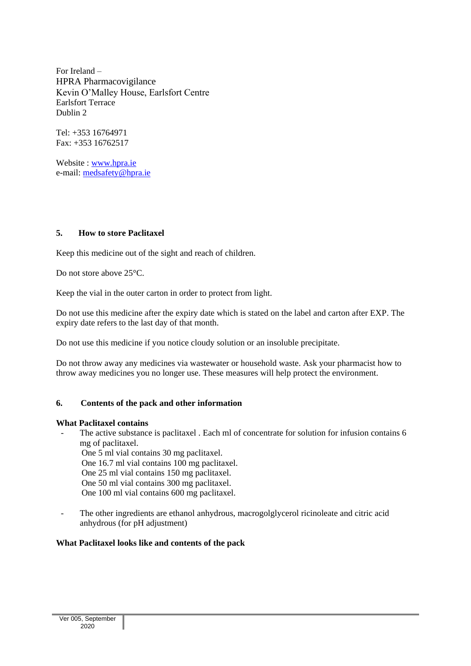For Ireland – HPRA Pharmacovigilance Kevin O'Malley House, Earlsfort Centre Earlsfort Terrace Dublin 2

Tel: +353 16764971 Fax: +353 16762517

Website : [www.hpra.ie](http://www.hpra.ie/) e-mail: [medsafety@hpra.ie](mailto:medsafety@hpra.ie)

### **5. How to store Paclitaxel**

Keep this medicine out of the sight and reach of children.

Do not store above 25°C.

Keep the vial in the outer carton in order to protect from light.

Do not use this medicine after the expiry date which is stated on the label and carton after EXP. The expiry date refers to the last day of that month.

Do not use this medicine if you notice cloudy solution or an insoluble precipitate.

Do not throw away any medicines via wastewater or household waste. Ask your pharmacist how to throw away medicines you no longer use. These measures will help protect the environment.

### **6. Contents of the pack and other information**

#### **What Paclitaxel contains**

The active substance is paclitaxel. Each ml of concentrate for solution for infusion contains 6 mg of paclitaxel.

One 5 ml vial contains 30 mg paclitaxel.

One 16.7 ml vial contains 100 mg paclitaxel.

One 25 ml vial contains 150 mg paclitaxel.

One 50 ml vial contains 300 mg paclitaxel.

One 100 ml vial contains 600 mg paclitaxel.

The other ingredients are ethanol anhydrous, macrogolglycerol ricinoleate and citric acid anhydrous (for pH adjustment)

### **What Paclitaxel looks like and contents of the pack**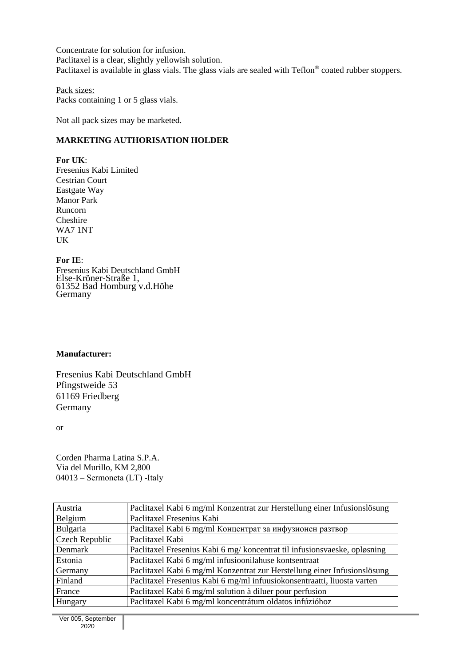Concentrate for solution for infusion. Paclitaxel is a clear, slightly yellowish solution. Paclitaxel is available in glass vials. The glass vials are sealed with Teflon<sup>®</sup> coated rubber stoppers.

Pack sizes: Packs containing 1 or 5 glass vials.

Not all pack sizes may be marketed.

## **MARKETING AUTHORISATION HOLDER**

**For UK**: Fresenius Kabi Limited Cestrian Court Eastgate Way Manor Park Runcorn

Cheshire WA7 1NT UK

**For IE**:

Fresenius Kabi Deutschland GmbH Else-Kröner-Straße 1, 61352 Bad Homburg v.d.Höhe Germany

#### **Manufacturer:**

Fresenius Kabi Deutschland GmbH Pfingstweide 53 61169 Friedberg Germany

or

Corden Pharma Latina S.P.A. Via del Murillo, KM 2,800 04013 – Sermoneta (LT) ‐Italy

| Austria        | Paclitaxel Kabi 6 mg/ml Konzentrat zur Herstellung einer Infusionslösung  |
|----------------|---------------------------------------------------------------------------|
| Belgium        | Paclitaxel Fresenius Kabi                                                 |
| Bulgaria       | Paclitaxel Kabi 6 mg/ml Концентрат за инфузионен разтвор                  |
| Czech Republic | Paclitaxel Kabi                                                           |
| Denmark        | Paclitaxel Fresenius Kabi 6 mg/ koncentrat til infusionsvaeske, opløsning |
| Estonia        | Paclitaxel Kabi 6 mg/ml infusioonilahuse kontsentraat                     |
| Germany        | Paclitaxel Kabi 6 mg/ml Konzentrat zur Herstellung einer Infusionslösung  |
| Finland        | Paclitaxel Fresenius Kabi 6 mg/ml infuusiokonsentraatti, liuosta varten   |
| France         | Paclitaxel Kabi 6 mg/ml solution à diluer pour perfusion                  |
| Hungary        | Paclitaxel Kabi 6 mg/ml koncentrátum oldatos infúzióhoz                   |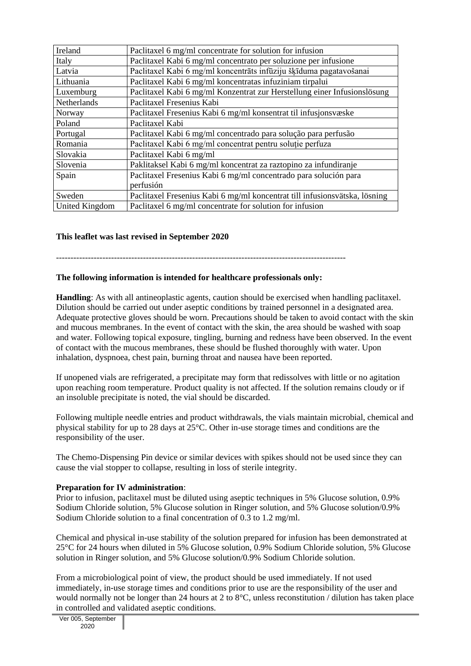| Ireland        | Paclitaxel 6 mg/ml concentrate for solution for infusion                   |
|----------------|----------------------------------------------------------------------------|
| Italy          | Paclitaxel Kabi 6 mg/ml concentrato per soluzione per infusione            |
| Latvia         | Paclitaxel Kabi 6 mg/ml koncentrāts infūziju šķīduma pagatavošanai         |
| Lithuania      | Paclitaxel Kabi 6 mg/ml koncentratas infuziniam tirpalui                   |
| Luxemburg      | Paclitaxel Kabi 6 mg/ml Konzentrat zur Herstellung einer Infusionslösung   |
| Netherlands    | Paclitaxel Fresenius Kabi                                                  |
| Norway         | Paclitaxel Fresenius Kabi 6 mg/ml konsentrat til infusjonsvæske            |
| Poland         | Paclitaxel Kabi                                                            |
| Portugal       | Paclitaxel Kabi 6 mg/ml concentrado para solução para perfusão             |
| Romania        | Paclitaxel Kabi 6 mg/ml concentrat pentru soluție perfuza                  |
| Slovakia       | Paclitaxel Kabi 6 mg/ml                                                    |
| Slovenia       | Paklitaksel Kabi 6 mg/ml koncentrat za raztopino za infundiranje           |
| Spain          | Paclitaxel Fresenius Kabi 6 mg/ml concentrado para solución para           |
|                | perfusión                                                                  |
| Sweden         | Paclitaxel Fresenius Kabi 6 mg/ml koncentrat till infusionsvätska, lösning |
| United Kingdom | Paclitaxel 6 mg/ml concentrate for solution for infusion                   |

### **This leaflet was last revised in September 2020**

# ----------------------------------------------------------------------------------------------------

#### **The following information is intended for healthcare professionals only:**

**Handling**: As with all antineoplastic agents, caution should be exercised when handling paclitaxel. Dilution should be carried out under aseptic conditions by trained personnel in a designated area. Adequate protective gloves should be worn. Precautions should be taken to avoid contact with the skin and mucous membranes. In the event of contact with the skin, the area should be washed with soap and water. Following topical exposure, tingling, burning and redness have been observed. In the event of contact with the mucous membranes, these should be flushed thoroughly with water. Upon inhalation, dyspnoea, chest pain, burning throat and nausea have been reported.

If unopened vials are refrigerated, a precipitate may form that redissolves with little or no agitation upon reaching room temperature. Product quality is not affected. If the solution remains cloudy or if an insoluble precipitate is noted, the vial should be discarded.

Following multiple needle entries and product withdrawals, the vials maintain microbial, chemical and physical stability for up to 28 days at 25°C. Other in-use storage times and conditions are the responsibility of the user.

The Chemo-Dispensing Pin device or similar devices with spikes should not be used since they can cause the vial stopper to collapse, resulting in loss of sterile integrity.

#### **Preparation for IV administration**:

Prior to infusion, paclitaxel must be diluted using aseptic techniques in 5% Glucose solution, 0.9% Sodium Chloride solution, 5% Glucose solution in Ringer solution, and 5% Glucose solution/0.9% Sodium Chloride solution to a final concentration of 0.3 to 1.2 mg/ml.

Chemical and physical in-use stability of the solution prepared for infusion has been demonstrated at 25°C for 24 hours when diluted in 5% Glucose solution, 0.9% Sodium Chloride solution, 5% Glucose solution in Ringer solution, and 5% Glucose solution/0.9% Sodium Chloride solution.

From a microbiological point of view, the product should be used immediately. If not used immediately, in-use storage times and conditions prior to use are the responsibility of the user and would normally not be longer than 24 hours at 2 to 8°C, unless reconstitution / dilution has taken place in controlled and validated aseptic conditions.